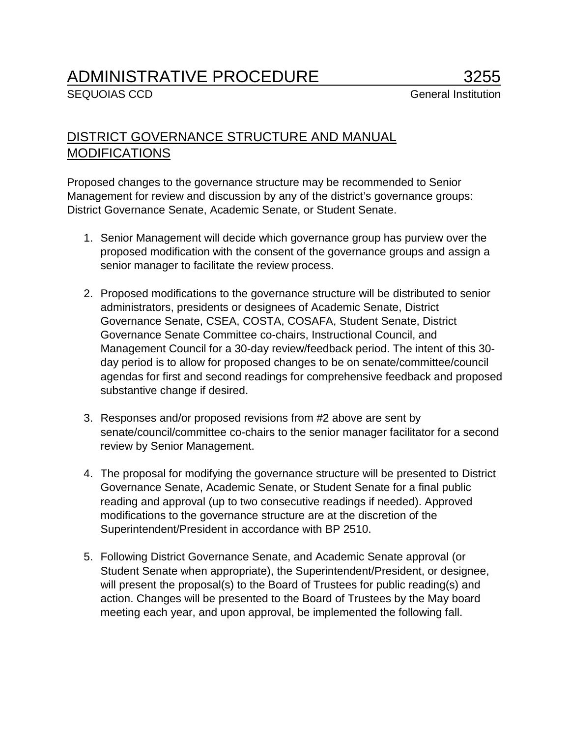## ADMINISTRATIVE PROCEDURE 3255

SEQUOIAS CCD SEQUOIAS CONSULTANT CONSULTANT CONSULTANT CONSULTANT CONSULTANT CONSULTANT CONSULTANT CONSULTANT CONSULTANT CONSULTANT CONSULTANT CONSULTANT CONSULTANT CONSULTANT CONSULTANT CONSULTANT CONSULTANT CONSULTANT CO

## DISTRICT GOVERNANCE STRUCTURE AND MANUAL **MODIFICATIONS**

Proposed changes to the governance structure may be recommended to Senior Management for review and discussion by any of the district's governance groups: District Governance Senate, Academic Senate, or Student Senate.

- 1. Senior Management will decide which governance group has purview over the proposed modification with the consent of the governance groups and assign a senior manager to facilitate the review process.
- 2. Proposed modifications to the governance structure will be distributed to senior administrators, presidents or designees of Academic Senate, District Governance Senate, CSEA, COSTA, COSAFA, Student Senate, District Governance Senate Committee co-chairs, Instructional Council, and Management Council for a 30-day review/feedback period. The intent of this 30 day period is to allow for proposed changes to be on senate/committee/council agendas for first and second readings for comprehensive feedback and proposed substantive change if desired.
- 3. Responses and/or proposed revisions from #2 above are sent by senate/council/committee co-chairs to the senior manager facilitator for a second review by Senior Management.
- 4. The proposal for modifying the governance structure will be presented to District Governance Senate, Academic Senate, or Student Senate for a final public reading and approval (up to two consecutive readings if needed). Approved modifications to the governance structure are at the discretion of the Superintendent/President in accordance with BP 2510.
- 5. Following District Governance Senate, and Academic Senate approval (or Student Senate when appropriate), the Superintendent/President, or designee, will present the proposal(s) to the Board of Trustees for public reading(s) and action. Changes will be presented to the Board of Trustees by the May board meeting each year, and upon approval, be implemented the following fall.